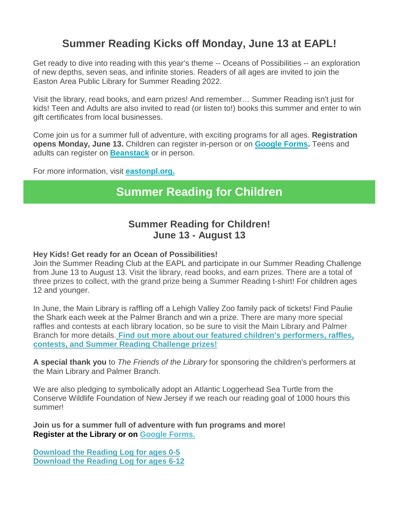## **Summer Reading Kicks off Monday, June 13 at EAPL!**

Get ready to dive into reading with this year's theme -- Oceans of Possibilities -- an exploration of new depths, seven seas, and infinite stories. Readers of all ages are invited to join the Easton Area Public Library for Summer Reading 2022.

Visit the library, read books, and earn prizes! And remember… Summer Reading isn't just for kids! Teen and Adults are also invited to read (or listen to!) books this summer and enter to win gift certificates from local businesses.

Come join us for a summer full of adventure, with exciting programs for all ages. **Registration opens Monday, June 13.** Children can register in-person or on **[Google Forms.](https://docs.google.com/forms/d/e/1FAIpQLScD9QDVzHO1Q4uLBS2DHQ2CJI3TaX4bjywUI9QnTu6mrJmF5A/viewform)** Teens and adults can register on **[Beanstack](https://eastonpl.beanstack.org/)** or in person.

For more information, visit **[eastonpl.org.](http://eastonpl.org/)**

# **Summer Reading for Children**

## **Summer Reading for Children! June 13 - August 13**

### **Hey Kids! Get ready for an Ocean of Possibilities!**

Join the Summer Reading Club at the EAPL and participate in our Summer Reading Challenge from June 13 to August 13. Visit the library, read books, and earn prizes. There are a total of three prizes to collect, with the grand prize being a Summer Reading t-shirt! For children ages 12 and younger.

In June, the Main Library is raffling off a Lehigh Valley Zoo family pack of tickets! Find Paulie the Shark each week at the Palmer Branch and win a prize. There are many more special raffles and contests at each library location, so be sure to visit the Main Library and Palmer Branch for more details[.](https://files.constantcontact.com/374c0b19601/e70df762-c93e-46bb-8a51-e0e5023836dc.pdf?rdr=true) **[Find out more about our featured children's performers, raffles,](https://files.constantcontact.com/374c0b19601/e70df762-c93e-46bb-8a51-e0e5023836dc.pdf?rdr=true)  [contests, and Summer Reading Challenge prizes!](https://files.constantcontact.com/374c0b19601/e70df762-c93e-46bb-8a51-e0e5023836dc.pdf?rdr=true)**

**A special thank you** to *The Friends of the Library* for sponsoring the children's performers at the Main Library and Palmer Branch.

We are also pledging to symbolically adopt an Atlantic Loggerhead Sea Turtle from the Conserve Wildlife Foundation of New Jersey if we reach our reading goal of 1000 hours this summer!

**Join us for a summer full of adventure with fun programs and more! Register at the Library or on [Google Forms.](https://docs.google.com/forms/d/e/1FAIpQLScD9QDVzHO1Q4uLBS2DHQ2CJI3TaX4bjywUI9QnTu6mrJmF5A/viewform)**

**[Download the Reading Log for ages 0-5](https://files.constantcontact.com/374c0b19601/13fb8aa4-8bfd-4ad9-b341-141caf46b1cd.pdf?rdr=true) [Download the Reading Log for ages 6-12](https://files.constantcontact.com/374c0b19601/9ddbb9fd-a24d-4039-9441-a2fdad1715cd.pdf?rdr=true)**